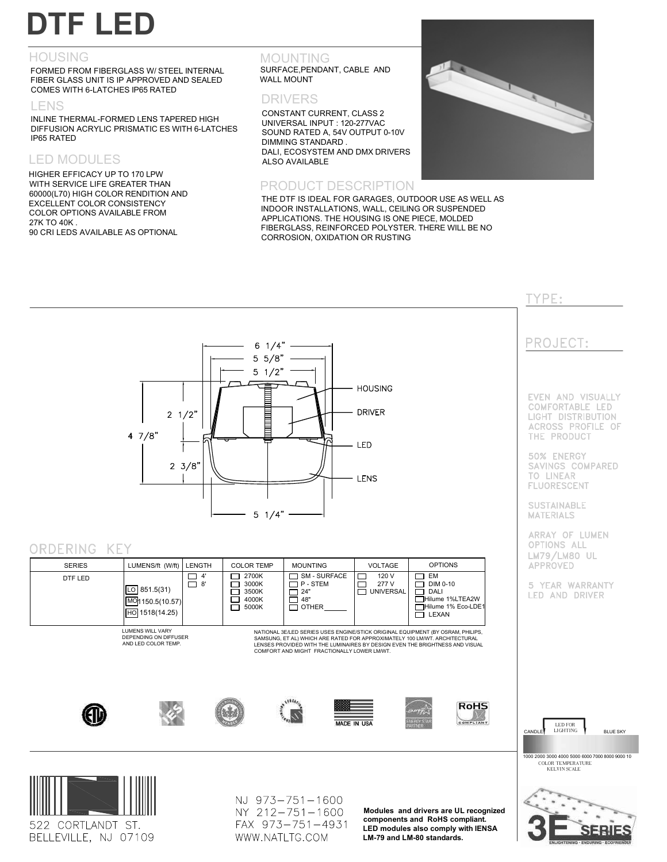# **DTF LED**

#### HOUSING

FORMED FROM FIBERGLASS W/ STEEL INTERNAL FIBER GLASS UNIT IS IP APPROVED AND SEALED COMES WITH 6-LATCHES IP65 RATED

#### LENS

INLINE THERMAL-FORMED LENS TAPERED HIGH DIFFUSION ACRYLIC PRISMATIC ES WITH 6-LATCHES IP65 RATED

## LED MODULES

HIGHER EFFICACY UP TO 170 LPW WITH SERVICE LIFE GREATER THAN 60000(L70) HIGH COLOR RENDITION AND EXCELLENT COLOR CONSISTENCY COLOR OPTIONS AVAILABLE FROM 27K TO 40K . 90 CRI LEDS AVAILABLE AS OPTIONAL

# MOUNTING

SURFACE,PENDANT, CABLE AND WALL MOUNT

### DRIVERS

CONSTANT CURRENT, CLASS 2 UNIVERSAL INPUT : 120-277VAC SOUND RATED A, 54V OUTPUT 0-10V DIMMING STANDARD . DALI, ECOSYSTEM AND DMX DRIVERS ALSO AVAILABLE

#### PRODUCT DESCRIPTION





DTF LED

NJ 973-751-1600 NY 212-751-1600 FAX 973-751-4931 WWW.NATLTG.COM

**Modules and drivers are UL recognized components and RoHS compliant. LED modules also comply with IENSA LM-79 and LM-80 standards.**